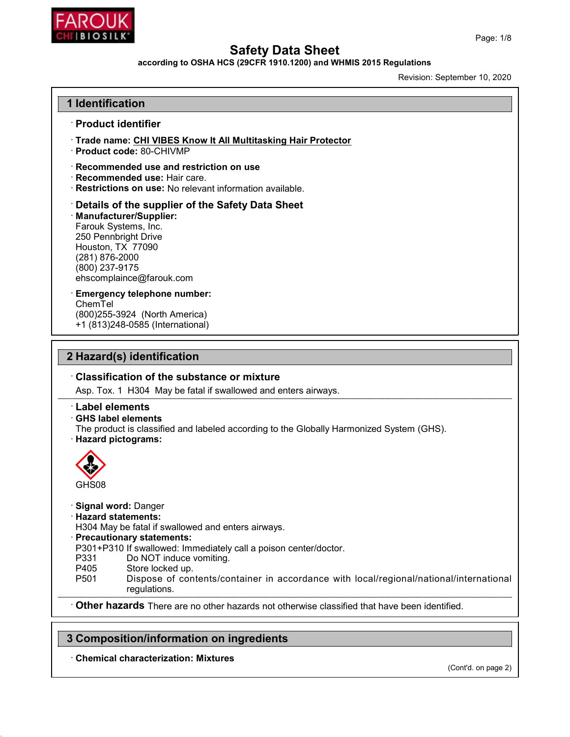

#### according to OSHA HCS (29CFR 1910.1200) and WHMIS 2015 Regulations

Revision: September 10, 2020

| 1 Identification                                                                                                                                                                                                                                                                                        |                                                                                          |
|---------------------------------------------------------------------------------------------------------------------------------------------------------------------------------------------------------------------------------------------------------------------------------------------------------|------------------------------------------------------------------------------------------|
| · Product identifier                                                                                                                                                                                                                                                                                    |                                                                                          |
| Trade name: CHI VIBES Know It All Multitasking Hair Protector<br>· Product code: 80-CHIVMP                                                                                                                                                                                                              |                                                                                          |
| Recommended use and restriction on use<br>· Recommended use: Hair care.<br>· Restrictions on use: No relevant information available.                                                                                                                                                                    |                                                                                          |
| Details of the supplier of the Safety Data Sheet<br>· Manufacturer/Supplier:<br>Farouk Systems, Inc.<br>250 Pennbright Drive<br>Houston, TX 77090<br>(281) 876-2000<br>(800) 237-9175<br>ehscomplaince@farouk.com                                                                                       |                                                                                          |
| <b>Emergency telephone number:</b><br>ChemTel<br>(800) 255-3924 (North America)<br>+1 (813)248-0585 (International)                                                                                                                                                                                     |                                                                                          |
| 2 Hazard(s) identification                                                                                                                                                                                                                                                                              |                                                                                          |
|                                                                                                                                                                                                                                                                                                         |                                                                                          |
|                                                                                                                                                                                                                                                                                                         |                                                                                          |
| Classification of the substance or mixture                                                                                                                                                                                                                                                              |                                                                                          |
| Asp. Tox. 1 H304 May be fatal if swallowed and enters airways.                                                                                                                                                                                                                                          |                                                                                          |
| <b>Label elements</b><br>$\cdot$ GHS label elements<br>· Hazard pictograms:                                                                                                                                                                                                                             | The product is classified and labeled according to the Globally Harmonized System (GHS). |
| GHS08                                                                                                                                                                                                                                                                                                   |                                                                                          |
| <b>Signal word: Danger</b><br><b>Hazard statements:</b><br>H304 May be fatal if swallowed and enters airways.<br>· Precautionary statements:<br>P301+P310 If swallowed: Immediately call a poison center/doctor.<br>P331<br>Do NOT induce vomiting.<br>P405<br>Store locked up.<br>P501<br>regulations. | Dispose of contents/container in accordance with local/regional/national/international   |

# 3 Composition/information on ingredients

· Chemical characterization: Mixtures

(Cont'd. on page 2)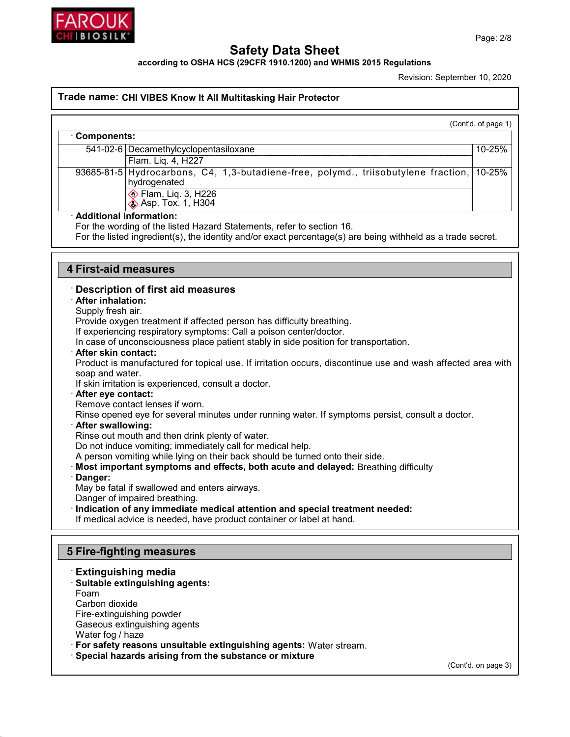

Г

# Safety Data Sheet

according to OSHA HCS (29CFR 1910.1200) and WHMIS 2015 Regulations

Revision: September 10, 2020

#### Trade name: CHI VIBES Know It All Multitasking Hair Protector

(Cont'd. of page 1)

| Components:                                                                                               |        |
|-----------------------------------------------------------------------------------------------------------|--------|
| 541-02-6   Decamethylcyclopentasiloxane                                                                   | 10-25% |
| Flam. Lig. 4, H227                                                                                        |        |
| 93685-81-5 Hydrocarbons, C4, 1,3-butadiene-free, polymd., triisobutylene fraction, 10-25%<br>hydrogenated |        |
| ♦ Flam. Liq. 3, H226<br><b>Example 35</b> Asp. Tox. 1, H304                                               |        |
| . Additional information:                                                                                 |        |

#### · Additional information:

For the wording of the listed Hazard Statements, refer to section 16.

For the listed ingredient(s), the identity and/or exact percentage(s) are being withheld as a trade secret.

## 4 First-aid measures

#### · Description of first aid measures

#### · After inhalation:

Supply fresh air.

Provide oxygen treatment if affected person has difficulty breathing.

If experiencing respiratory symptoms: Call a poison center/doctor.

In case of unconsciousness place patient stably in side position for transportation.

#### · After skin contact:

Product is manufactured for topical use. If irritation occurs, discontinue use and wash affected area with soap and water.

If skin irritation is experienced, consult a doctor.

· After eye contact:

Remove contact lenses if worn.

Rinse opened eye for several minutes under running water. If symptoms persist, consult a doctor.

### · After swallowing:

Rinse out mouth and then drink plenty of water.

Do not induce vomiting; immediately call for medical help.

A person vomiting while lying on their back should be turned onto their side.

- · Most important symptoms and effects, both acute and delayed: Breathing difficulty
- · Danger:

May be fatal if swallowed and enters airways.

Danger of impaired breathing.

· Indication of any immediate medical attention and special treatment needed:

If medical advice is needed, have product container or label at hand.

# 5 Fire-fighting measures

· Extinguishing media · Suitable extinguishing agents: Foam Carbon dioxide Fire-extinguishing powder Gaseous extinguishing agents Water fog / haze · For safety reasons unsuitable extinguishing agents: Water stream. · Special hazards arising from the substance or mixture

(Cont'd. on page 3)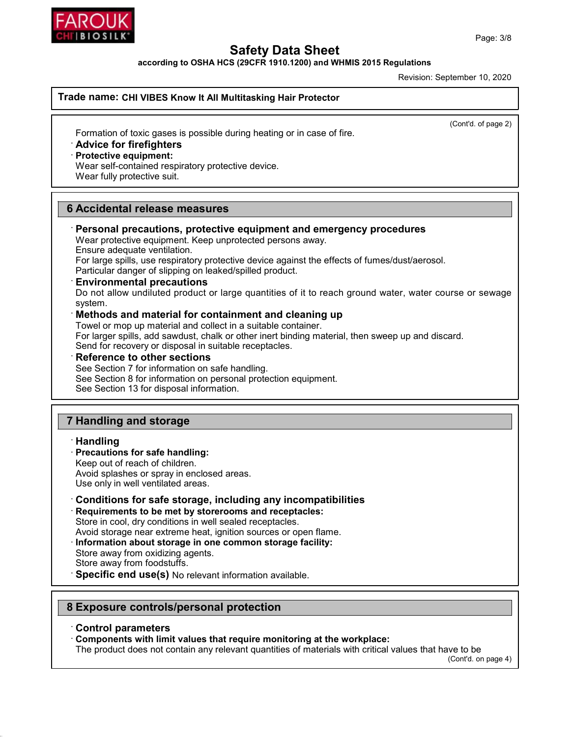



according to OSHA HCS (29CFR 1910.1200) and WHMIS 2015 Regulations

Revision: September 10, 2020

## Trade name: CHI VIBES Know It All Multitasking Hair Protector

(Cont'd. of page 2)

Formation of toxic gases is possible during heating or in case of fire.

#### · Advice for firefighters

#### · Protective equipment:

Wear self-contained respiratory protective device. Wear fully protective suit.

# 6 Accidental release measures

# · Personal precautions, protective equipment and emergency procedures

Wear protective equipment. Keep unprotected persons away. Ensure adequate ventilation.

For large spills, use respiratory protective device against the effects of fumes/dust/aerosol. Particular danger of slipping on leaked/spilled product.

# · Environmental precautions

Do not allow undiluted product or large quantities of it to reach ground water, water course or sewage system.

## · Methods and material for containment and cleaning up

Towel or mop up material and collect in a suitable container.

For larger spills, add sawdust, chalk or other inert binding material, then sweep up and discard. Send for recovery or disposal in suitable receptacles.

## **Reference to other sections**

See Section 7 for information on safe handling.

See Section 8 for information on personal protection equipment.

See Section 13 for disposal information.

# 7 Handling and storage

# · Handling

# · Precautions for safe handling:

Keep out of reach of children.

Avoid splashes or spray in enclosed areas.

Use only in well ventilated areas.

# · Conditions for safe storage, including any incompatibilities

· Requirements to be met by storerooms and receptacles: Store in cool, dry conditions in well sealed receptacles.

Avoid storage near extreme heat, ignition sources or open flame.

- · Information about storage in one common storage facility: Store away from oxidizing agents. Store away from foodstuffs.
- · Specific end use(s) No relevant information available.

# 8 Exposure controls/personal protection

#### · Control parameters

· Components with limit values that require monitoring at the workplace:

The product does not contain any relevant quantities of materials with critical values that have to be

(Cont'd. on page 4)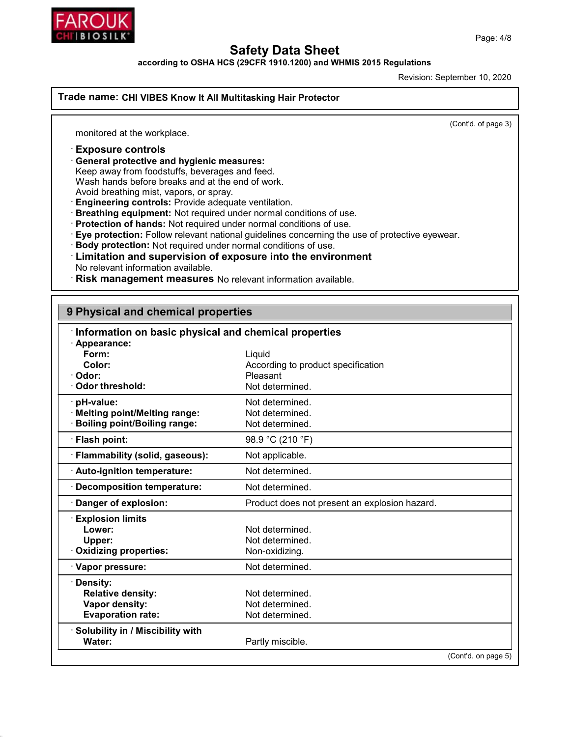

according to OSHA HCS (29CFR 1910.1200) and WHMIS 2015 Regulations

Revision: September 10, 2020

Trade name: CHI VIBES Know It All Multitasking Hair Protector

(Cont'd. of page 3)

monitored at the workplace.

· Exposure controls

· General protective and hygienic measures:

Keep away from foodstuffs, beverages and feed.

Wash hands before breaks and at the end of work.

Avoid breathing mist, vapors, or spray.

· Engineering controls: Provide adequate ventilation.

· Breathing equipment: Not required under normal conditions of use.

· Protection of hands: Not required under normal conditions of use.

· Eye protection: Follow relevant national guidelines concerning the use of protective eyewear.

· Body protection: Not required under normal conditions of use.

## · Limitation and supervision of exposure into the environment No relevant information available.

· Risk management measures No relevant information available.

| 9 Physical and chemical properties                    |                                               |                     |
|-------------------------------------------------------|-----------------------------------------------|---------------------|
| Information on basic physical and chemical properties |                                               |                     |
| · Appearance:                                         |                                               |                     |
| Form:                                                 | Liquid                                        |                     |
| Color:                                                | According to product specification            |                     |
| Odor:                                                 | Pleasant                                      |                     |
| <b>Odor threshold:</b>                                | Not determined.                               |                     |
| pH-value:                                             | Not determined.                               |                     |
| · Melting point/Melting range:                        | Not determined.                               |                     |
| <b>Boiling point/Boiling range:</b>                   | Not determined.                               |                     |
| · Flash point:                                        | 98.9 °C (210 °F)                              |                     |
| · Flammability (solid, gaseous):                      | Not applicable.                               |                     |
| · Auto-ignition temperature:                          | Not determined.                               |                     |
| <b>Decomposition temperature:</b>                     | Not determined.                               |                     |
| Danger of explosion:                                  | Product does not present an explosion hazard. |                     |
| <b>Explosion limits</b>                               |                                               |                     |
| Lower:                                                | Not determined.                               |                     |
| Upper:                                                | Not determined.                               |                     |
| <b>Oxidizing properties:</b>                          | Non-oxidizing.                                |                     |
| · Vapor pressure:                                     | Not determined.                               |                     |
| Density:                                              |                                               |                     |
| <b>Relative density:</b>                              | Not determined.                               |                     |
| Vapor density:                                        | Not determined.                               |                     |
| <b>Evaporation rate:</b>                              | Not determined.                               |                     |
| <b>Solubility in / Miscibility with</b>               |                                               |                     |
| Water:                                                | Partly miscible.                              |                     |
|                                                       |                                               | (Cont'd. on page 5) |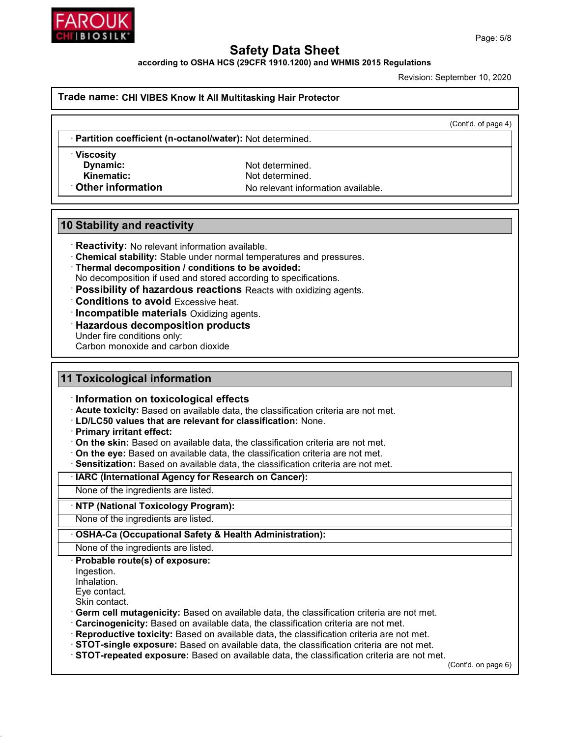

according to OSHA HCS (29CFR 1910.1200) and WHMIS 2015 Regulations

Revision: September 10, 2020

#### Trade name: CHI VIBES Know It All Multitasking Hair Protector

(Cont'd. of page 4)

Partition coefficient (n-octanol/water): Not determined.

· Viscosity

Dynamic: Not determined. Kinematic: Not determined. **Other information** No relevant information available.

# 10 Stability and reactivity

· Reactivity: No relevant information available.

- · Chemical stability: Stable under normal temperatures and pressures.
- · Thermal decomposition / conditions to be avoided:

No decomposition if used and stored according to specifications.

- · Possibility of hazardous reactions Reacts with oxidizing agents.
- · Conditions to avoid Excessive heat.
- · Incompatible materials Oxidizing agents.
- · Hazardous decomposition products
- Under fire conditions only:

Carbon monoxide and carbon dioxide

# 11 Toxicological information

· Information on toxicological effects

- · Acute toxicity: Based on available data, the classification criteria are not met.
- · LD/LC50 values that are relevant for classification: None.
- · Primary irritant effect:
- $\cdot$  On the skin: Based on available data, the classification criteria are not met.
- · On the eye: Based on available data, the classification criteria are not met.
- · Sensitization: Based on available data, the classification criteria are not met.

· IARC (International Agency for Research on Cancer):

None of the ingredients are listed.

### · NTP (National Toxicology Program):

None of the ingredients are listed.

#### OSHA-Ca (Occupational Safety & Health Administration):

None of the ingredients are listed.

### · Probable route(s) of exposure:

Ingestion.

Inhalation.

Eye contact.

Skin contact.

· Germ cell mutagenicity: Based on available data, the classification criteria are not met.

- · Carcinogenicity: Based on available data, the classification criteria are not met.
- · Reproductive toxicity: Based on available data, the classification criteria are not met.
- · STOT-single exposure: Based on available data, the classification criteria are not met.
- · STOT-repeated exposure: Based on available data, the classification criteria are not met.

(Cont'd. on page 6)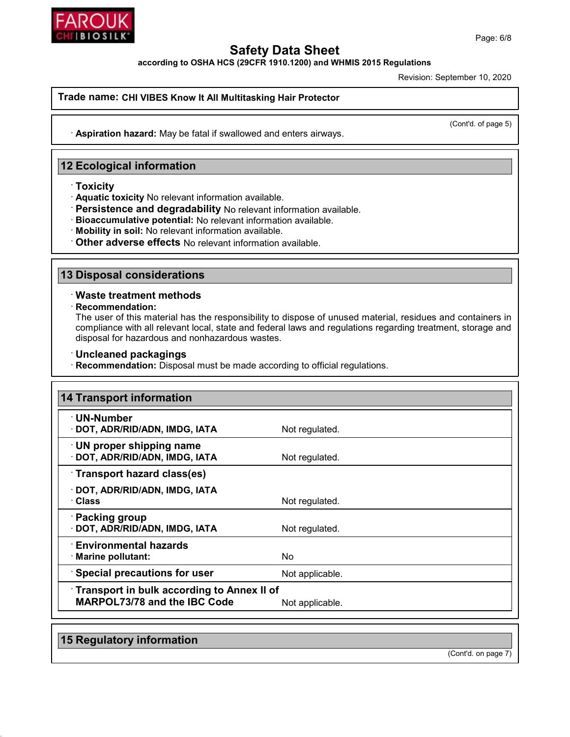

according to OSHA HCS (29CFR 1910.1200) and WHMIS 2015 Regulations

Revision: September 10, 2020

#### Trade name: CHI VIBES Know It All Multitasking Hair Protector

(Cont'd. of page 5)

· Aspiration hazard: May be fatal if swallowed and enters airways.

# 12 Ecological information

- · Toxicity
- · Aquatic toxicity No relevant information available.
- · Persistence and degradability No relevant information available.
- · Bioaccumulative potential: No relevant information available.
- · Mobility in soil: No relevant information available.
- · Other adverse effects No relevant information available.

# 13 Disposal considerations

#### · Waste treatment methods

· Recommendation:

The user of this material has the responsibility to dispose of unused material, residues and containers in compliance with all relevant local, state and federal laws and regulations regarding treatment, storage and disposal for hazardous and nonhazardous wastes.

- · Uncleaned packagings
- · Recommendation: Disposal must be made according to official regulations.

| $\cdot$ UN-Number                                                 |                 |  |
|-------------------------------------------------------------------|-----------------|--|
| · DOT, ADR/RID/ADN, IMDG, IATA                                    | Not regulated.  |  |
| $\cdot$ UN proper shipping name<br>· DOT, ADR/RID/ADN, IMDG, IATA | Not regulated.  |  |
| Transport hazard class(es)                                        |                 |  |
| · DOT, ADR/RID/ADN, IMDG, IATA<br>· Class                         | Not regulated.  |  |
| · Packing group<br>· DOT, ADR/RID/ADN, IMDG, IATA                 | Not regulated.  |  |
| <b>Environmental hazards</b><br>· Marine pollutant:               | No              |  |
| <b>Special precautions for user</b>                               | Not applicable. |  |
| <b>Transport in bulk according to Annex II of</b>                 |                 |  |
| <b>MARPOL73/78 and the IBC Code</b>                               | Not applicable. |  |

15 Regulatory information

(Cont'd. on page 7)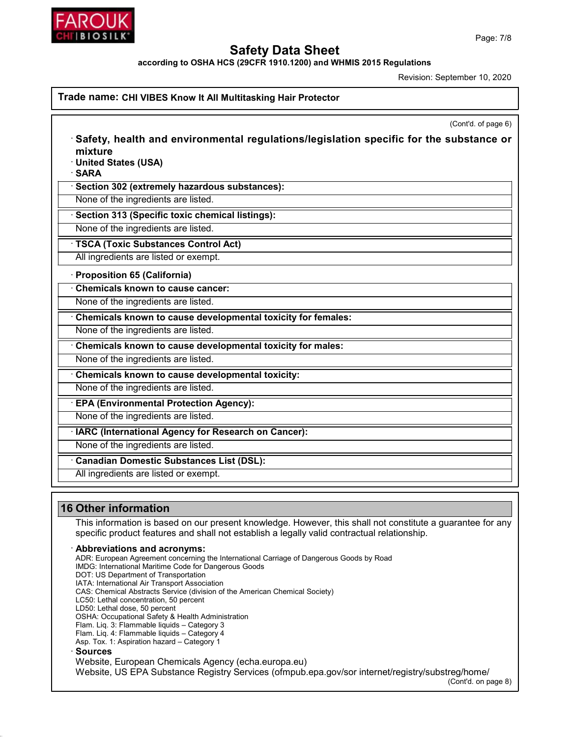

according to OSHA HCS (29CFR 1910.1200) and WHMIS 2015 Regulations

Revision: September 10, 2020

|                                | (Cont'd. of page 6)                                                                            |
|--------------------------------|------------------------------------------------------------------------------------------------|
| mixture                        | $\cdot$ Safety, health and environmental regulations/legislation specific for the substance or |
| · United States (USA)<br>∙SARA |                                                                                                |
|                                | · Section 302 (extremely hazardous substances):                                                |
|                                | None of the ingredients are listed.                                                            |
|                                | · Section 313 (Specific toxic chemical listings):                                              |
|                                | None of the ingredients are listed.                                                            |
|                                | · TSCA (Toxic Substances Control Act)                                                          |
|                                | All ingredients are listed or exempt.                                                          |
| Proposition 65 (California)    |                                                                                                |
|                                | Chemicals known to cause cancer:                                                               |
|                                | None of the ingredients are listed.                                                            |
|                                | Chemicals known to cause developmental toxicity for females:                                   |
|                                | None of the ingredients are listed.                                                            |
|                                | Chemicals known to cause developmental toxicity for males:                                     |
|                                | None of the ingredients are listed.                                                            |
|                                | Chemicals known to cause developmental toxicity:                                               |
|                                | None of the ingredients are listed.                                                            |
|                                | <b>EPA (Environmental Protection Agency):</b>                                                  |
|                                | None of the ingredients are listed.                                                            |
|                                | · IARC (International Agency for Research on Cancer):                                          |
|                                | None of the ingredients are listed.                                                            |
|                                | Canadian Domestic Substances List (DSL):                                                       |
|                                | All ingredients are listed or exempt.                                                          |

This information is based on our present knowledge. However, this shall not constitute a guarantee for any specific product features and shall not establish a legally valid contractual relationship.

#### Abbreviations and acronyms:

ADR: European Agreement concerning the International Carriage of Dangerous Goods by Road IMDG: International Maritime Code for Dangerous Goods DOT: US Department of Transportation IATA: International Air Transport Association CAS: Chemical Abstracts Service (division of the American Chemical Society) LC50: Lethal concentration, 50 percent LD50: Lethal dose, 50 percent OSHA: Occupational Safety & Health Administration Flam. Liq. 3: Flammable liquids – Category 3 Flam. Liq. 4: Flammable liquids – Category 4 Asp. Tox. 1: Aspiration hazard – Category 1 · Sources Website, European Chemicals Agency (echa.europa.eu) Website, US EPA Substance Registry Services (ofmpub.epa.gov/sor internet/registry/substreg/home/

(Cont'd. on page 8)